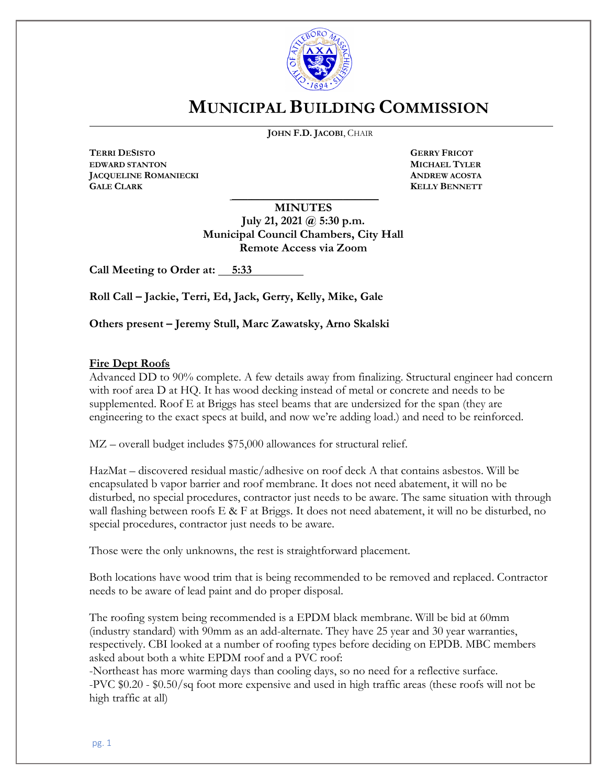

## **MUNICIPAL BUILDING COMMISSION**

**JOHN F.D. JACOBI**, CHAIR

**TERRI DESISTO GERRY FRICOT EDWARD STANTON MICHAEL TYLER JACQUELINE ROMANIECKI ANDREW ACOSTA GALE CLARK KELLY BENNETT**

 $\overline{a}$ 

**MINUTES**

\_\_\_\_\_\_\_\_\_\_\_\_\_\_\_\_\_\_\_\_\_\_\_\_\_\_\_\_\_\_\_\_\_\_\_\_\_

**July 21, 2021 @ 5:30 p.m. Municipal Council Chambers, City Hall Remote Access via Zoom**

**Call Meeting to Order at: 5:33**

**Roll Call – Jackie, Terri, Ed, Jack, Gerry, Kelly, Mike, Gale**

**Others present – Jeremy Stull, Marc Zawatsky, Arno Skalski**

## **Fire Dept Roofs**

Advanced DD to 90% complete. A few details away from finalizing. Structural engineer had concern with roof area D at HQ. It has wood decking instead of metal or concrete and needs to be supplemented. Roof E at Briggs has steel beams that are undersized for the span (they are engineering to the exact specs at build, and now we're adding load.) and need to be reinforced.

MZ – overall budget includes \$75,000 allowances for structural relief.

HazMat – discovered residual mastic/adhesive on roof deck A that contains asbestos. Will be encapsulated b vapor barrier and roof membrane. It does not need abatement, it will no be disturbed, no special procedures, contractor just needs to be aware. The same situation with through wall flashing between roofs E & F at Briggs. It does not need abatement, it will no be disturbed, no special procedures, contractor just needs to be aware.

Those were the only unknowns, the rest is straightforward placement.

Both locations have wood trim that is being recommended to be removed and replaced. Contractor needs to be aware of lead paint and do proper disposal.

The roofing system being recommended is a EPDM black membrane. Will be bid at 60mm (industry standard) with 90mm as an add-alternate. They have 25 year and 30 year warranties, respectively. CBI looked at a number of roofing types before deciding on EPDB. MBC members asked about both a white EPDM roof and a PVC roof:

-Northeast has more warming days than cooling days, so no need for a reflective surface. -PVC \$0.20 - \$0.50/sq foot more expensive and used in high traffic areas (these roofs will not be high traffic at all)